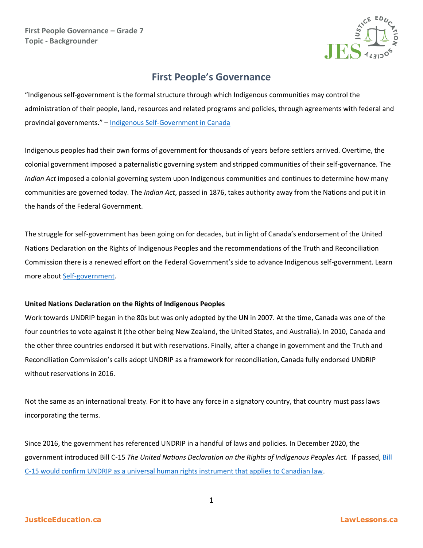

## **First People's Governance**

"Indigenous self-government is the formal structure through which Indigenous communities may control the administration of their people, land, resources and related programs and policies, through agreements with federal and provincial governments." – [Indigenous Self-Government in Canada](https://www.thecanadianencyclopedia.ca/en/article/aboriginal-self-government)

Indigenous peoples had their own forms of government for thousands of years before settlers arrived. Overtime, the colonial government imposed a paternalistic governing system and stripped communities of their self-governance. The *Indian Act* imposed a colonial governing system upon Indigenous communities and continues to determine how many communities are governed today. The *Indian Act*, passed in 1876, takes authority away from the Nations and put it in the hands of the Federal Government.

The struggle for self-government has been going on for decades, but in light of Canada's endorsement of the United Nations Declaration on the Rights of Indigenous Peoples and the recommendations of the Truth and Reconciliation Commission there is a renewed effort on the Federal Government's side to advance Indigenous self-government. Learn more about [Self-government.](https://www.rcaanc-cirnac.gc.ca/eng/1100100032275/1529354547314)

## **United Nations Declaration on the Rights of Indigenous Peoples**

Work towards UNDRIP began in the 80s but was only adopted by the UN in 2007. At the time, Canada was one of the four countries to vote against it (the other being New Zealand, the United States, and Australia). In 2010, Canada and the other three countries endorsed it but with reservations. Finally, after a change in government and the Truth and Reconciliation Commission's calls adopt UNDRIP as a framework for reconciliation, Canada fully endorsed UNDRIP without reservations in 2016.

Not the same as an international treaty. For it to have any force in a signatory country, that country must pass laws incorporating the terms.

Since 2016, the government has referenced UNDRIP in a handful of laws and policies. In December 2020, the government introduced Bill C-15 *The United Nations Declaration on the Rights of Indigenous Peoples Act.* If passed, [Bill](https://www.canadianlawyermag.com/practice-areas/indigenous/indigenous-law-expert-explains-how-undrip-advances-the-law-of-consultation-and-consent/330496)  [C-15 would confirm UNDRIP as a universal human rights instrument that applies to Canadian law.](https://www.canadianlawyermag.com/practice-areas/indigenous/indigenous-law-expert-explains-how-undrip-advances-the-law-of-consultation-and-consent/330496)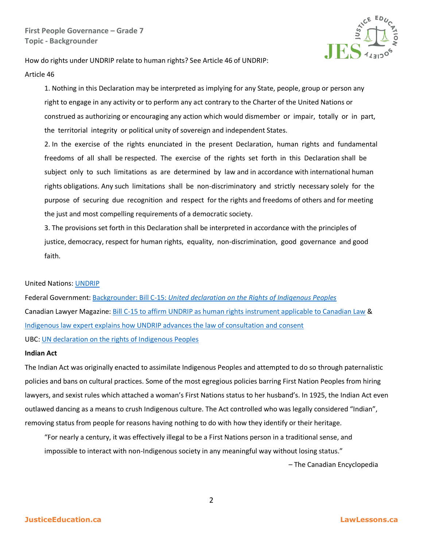

How do rights under UNDRIP relate to human rights? See Article 46 of UNDRIP: Article 46

1. Nothing in this Declaration may be interpreted as implying for any State, people, group or person any right to engage in any activity or to perform any act contrary to the Charter of the United Nations or construed as authorizing or encouraging any action which would dismember or impair, totally or in part, the territorial integrity or political unity of sovereign and independent States.

2. In the exercise of the rights enunciated in the present Declaration, human rights and fundamental freedoms of all shall be respected. The exercise of the rights set forth in this Declaration shall be subject only to such limitations as are determined by law and in accordance with international human rights obligations. Any such limitations shall be non-discriminatory and strictly necessary solely for the purpose of securing due recognition and respect for the rights and freedoms of others and for meeting the just and most compelling requirements of a democratic society.

3. The provisions set forth in this Declaration shall be interpreted in accordance with the principles of justice, democracy, respect for human rights, equality, non-discrimination, good governance and good faith.

## United Nations[: UNDRIP](https://www.un.org/esa/socdev/unpfii/documents/DRIPS_en.pdf)

Federal Government: Backgrounder: Bill C-15: *[United declaration on the Rights of Indigenous Peoples](https://www.justice.gc.ca/eng/declaration/about-apropos.html)* Canadian Lawyer Magazine: [Bill C-15 to affirm UNDRIP as human rights instrument applicable to Canadian Law](https://www.canadianlawyermag.com/practice-areas/indigenous/bill-c-15-to-affirm-undrip-as-human-rights-instrument-applicable-to-canadian-law/336059) & [Indigenous law expert explains how UNDRIP advances the law of consultation and consent](https://www.canadianlawyermag.com/practice-areas/indigenous/indigenous-law-expert-explains-how-undrip-advances-the-law-of-consultation-and-consent/330496) UBC[: UN declaration on the rights of Indigenous Peoples](https://indigenousfoundations.arts.ubc.ca/un_declaration_on_the_rights_of_indigenous_peoples/)

## **Indian Act**

The Indian Act was originally enacted to assimilate Indigenous Peoples and attempted to do so through paternalistic policies and bans on cultural practices. Some of the most egregious policies barring First Nation Peoples from hiring lawyers, and sexist rules which attached a woman's First Nations status to her husband's. In 1925, the Indian Act even outlawed dancing as a means to crush Indigenous culture. The Act controlled who was legally considered "Indian", removing status from people for reasons having nothing to do with how they identify or their heritage.

"For nearly a century, it was effectively illegal to be a First Nations person in a traditional sense, and impossible to interact with non-Indigenous society in any meaningful way without losing status."

– The Canadian Encyclopedia